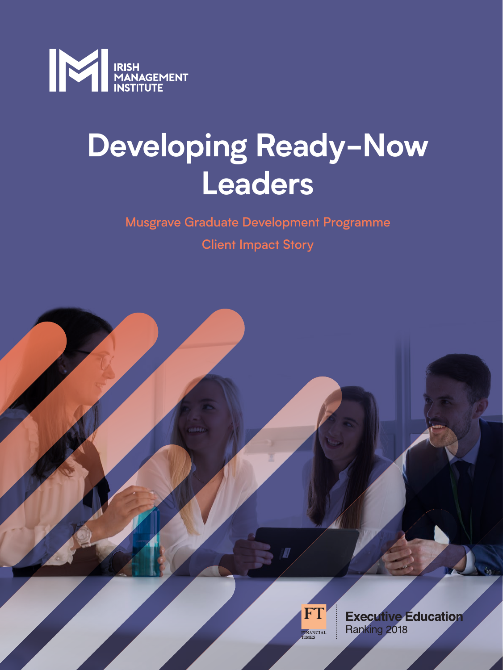

## **Developing Ready-Now Leaders**

Musgrave Graduate Development Programme

Client Impact Story

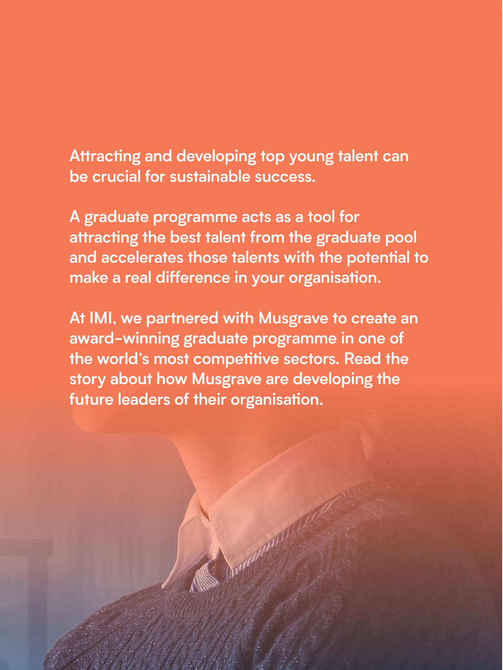**Attracting and developing top young talent can be crucial for sustainable success.**

**A graduate programme acts as a tool for attracting the best talent from the graduate pool and accelerates those talents with the potential to make a real difference in your organisation.** 

**At IMI, we partnered with Musgrave to create an award-winning graduate programme in one of the world's most competitive sectors. Read the story about how Musgrave are developing the future leaders of their organisation.**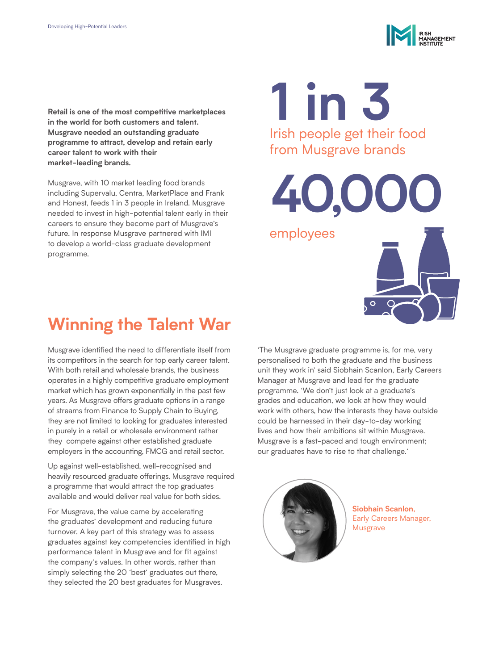

**Retail is one of the most competitive marketplaces in the world for both customers and talent. Musgrave needed an outstanding graduate programme to attract, develop and retain early career talent to work with their market-leading brands.** 

Musgrave, with 10 market leading food brands including Supervalu, Centra, MarketPlace and Frank and Honest, feeds 1 in 3 people in Ireland. Musgrave needed to invest in high-potential talent early in their careers to ensure they become part of Musgrave's future. In response Musgrave partnered with IMI to develop a world-class graduate development programme.

**1 in 3** Irish people get their food from Musgrave brands

**40,000** employees

## **Winning the Talent War**

Musgrave identified the need to differentiate itself from its competitors in the search for top early career talent. With both retail and wholesale brands, the business operates in a highly competitive graduate employment market which has grown exponentially in the past few years. As Musgrave offers graduate options in a range of streams from Finance to Supply Chain to Buying, they are not limited to looking for graduates interested in purely in a retail or wholesale environment rather they compete against other established graduate employers in the accounting, FMCG and retail sector.

Up against well-established, well-recognised and heavily resourced graduate offerings, Musgrave required a programme that would attract the top graduates available and would deliver real value for both sides.

For Musgrave, the value came by accelerating the graduates' development and reducing future turnover. A key part of this strategy was to assess graduates against key competencies identified in high performance talent in Musgrave and for fit against the company's values. In other words, rather than simply selecting the 20 'best' graduates out there, they selected the 20 best graduates for Musgraves.

'The Musgrave graduate programme is, for me, very personalised to both the graduate and the business unit they work in' said Siobhain Scanlon, Early Careers Manager at Musgrave and lead for the graduate programme. 'We don't just look at a graduate's grades and education, we look at how they would work with others, how the interests they have outside could be harnessed in their day-to-day working lives and how their ambitions sit within Musgrave. Musgrave is a fast-paced and tough environment; our graduates have to rise to that challenge.'



**Siobhain Scanlon,**  Early Careers Manager, Musgrave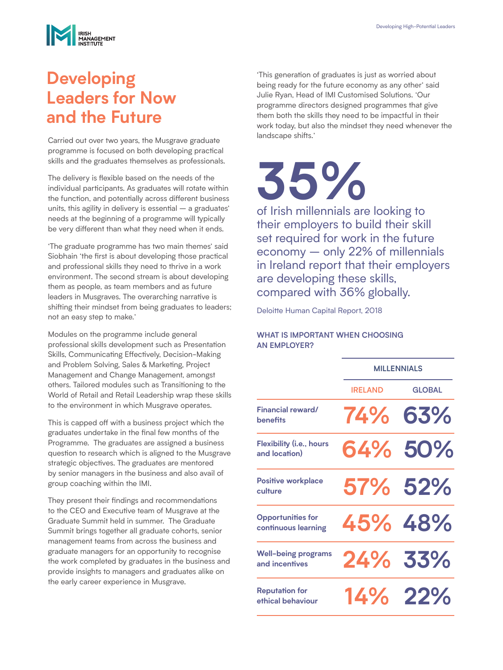

### **Developing Leaders for Now and the Future**

Carried out over two years, the Musgrave graduate programme is focused on both developing practical skills and the graduates themselves as professionals.

The delivery is flexible based on the needs of the individual participants. As graduates will rotate within the function, and potentially across different business units, this agility in delivery is essential – a graduates' needs at the beginning of a programme will typically be very different than what they need when it ends.

'The graduate programme has two main themes' said Siobhain 'the first is about developing those practical and professional skills they need to thrive in a work environment. The second stream is about developing them as people, as team members and as future leaders in Musgraves. The overarching narrative is shifting their mindset from being graduates to leaders; not an easy step to make.'

Modules on the programme include general professional skills development such as Presentation Skills, Communicating Effectively, Decision-Making and Problem Solving, Sales & Marketing, Project Management and Change Management, amongst others. Tailored modules such as Transitioning to the World of Retail and Retail Leadership wrap these skills to the environment in which Musgrave operates.

This is capped off with a business project which the graduates undertake in the final few months of the Programme. The graduates are assigned a business question to research which is aligned to the Musgrave strategic objectives. The graduates are mentored by senior managers in the business and also avail of group coaching within the IMI.

They present their findings and recommendations to the CEO and Executive team of Musgrave at the Graduate Summit held in summer. The Graduate Summit brings together all graduate cohorts, senior management teams from across the business and graduate managers for an opportunity to recognise the work completed by graduates in the business and provide insights to managers and graduates alike on the early career experience in Musgrave.

'This generation of graduates is just as worried about being ready for the future economy as any other' said Julie Ryan, Head of IMI Customised Solutions. 'Our programme directors designed programmes that give them both the skills they need to be impactful in their work today, but also the mindset they need whenever the landscape shifts.'

# **35%**

of Irish millennials are looking to their employers to build their skill set required for work in the future economy – only 22% of millennials in Ireland report that their employers are developing these skills, compared with 36% globally.

Deloitte Human Capital Report, 2018

#### **WHAT IS IMPORTANT WHEN CHOOSING AN EMPLOYER?**

|                                                 | <b>MILLENNIALS</b> |               |
|-------------------------------------------------|--------------------|---------------|
|                                                 | <b>IRELAND</b>     | <b>GLOBAL</b> |
| <b>Financial reward/</b><br>benefits            |                    | 74% 63%       |
| Flexibility (i.e., hours<br>and location)       |                    | 64% 50%       |
| <b>Positive workplace</b><br>culture            |                    | 57% 52%       |
| <b>Opportunities for</b><br>continuous learning |                    | 45% 48%       |
| <b>Well-being programs</b><br>and incentives    |                    | 24% 33%       |
| <b>Reputation for</b><br>ethical behaviour      |                    | 14% 22%       |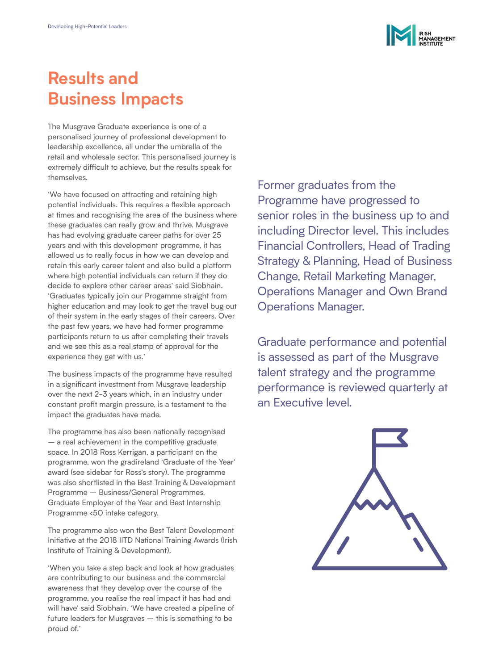

## **Results and Business Impacts**

The Musgrave Graduate experience is one of a personalised journey of professional development to leadership excellence, all under the umbrella of the retail and wholesale sector. This personalised journey is extremely difficult to achieve, but the results speak for themselves.

'We have focused on attracting and retaining high potential individuals. This requires a flexible approach at times and recognising the area of the business where these graduates can really grow and thrive. Musgrave has had evolving graduate career paths for over 25 years and with this development programme, it has allowed us to really focus in how we can develop and retain this early career talent and also build a platform where high potential individuals can return if they do decide to explore other career areas' said Siobhain. 'Graduates typically join our Progamme straight from higher education and may look to get the travel bug out of their system in the early stages of their careers. Over the past few years, we have had former programme participants return to us after completing their travels and we see this as a real stamp of approval for the experience they get with us.'

The business impacts of the programme have resulted in a significant investment from Musgrave leadership over the next 2-3 years which, in an industry under constant profit margin pressure, is a testament to the impact the graduates have made.

The programme has also been nationally recognised – a real achievement in the competitive graduate space. In 2018 Ross Kerrigan, a participant on the programme, won the gradireland 'Graduate of the Year' award (see sidebar for Ross's story). The programme was also shortlisted in the Best Training & Development Programme – Business/General Programmes, Graduate Employer of the Year and Best Internship Programme <50 intake category.

The programme also won the Best Talent Development Initiative at the 2018 IITD National Training Awards (Irish Institute of Training & Development).

'When you take a step back and look at how graduates are contributing to our business and the commercial awareness that they develop over the course of the programme, you realise the real impact it has had and will have' said Siobhain. 'We have created a pipeline of future leaders for Musgraves – this is something to be proud of.'

Former graduates from the Programme have progressed to senior roles in the business up to and including Director level. This includes Financial Controllers, Head of Trading Strategy & Planning, Head of Business Change, Retail Marketing Manager, Operations Manager and Own Brand Operations Manager.

Graduate performance and potential is assessed as part of the Musgrave talent strategy and the programme performance is reviewed quarterly at an Executive level.

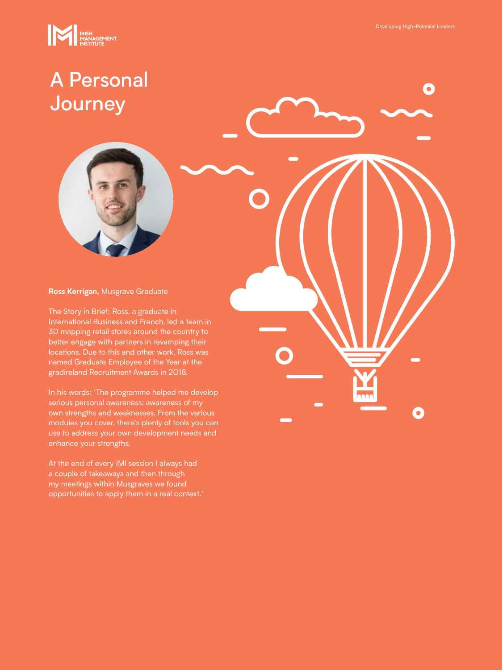

 $\bullet$ 

 $\bullet$ 

## A Personal **Journey**

**Ross Kerrigan,** Musgrave Graduate

The Story in Brief: Ross, a graduate in International Business and French, led a team in 3D mapping retail stores around the country to better engage with partners in revamping their named Graduate Employee of the Year at the gradireland Recruitment Awards in 2018.

In his words: 'The programme helped me develop own strengths and weaknesses. From the various enhance your strengths.

At the end of every IMI session I always had a couple of takeaways and then through my meetings within Musgraves we found opportunities to apply them in a real context.'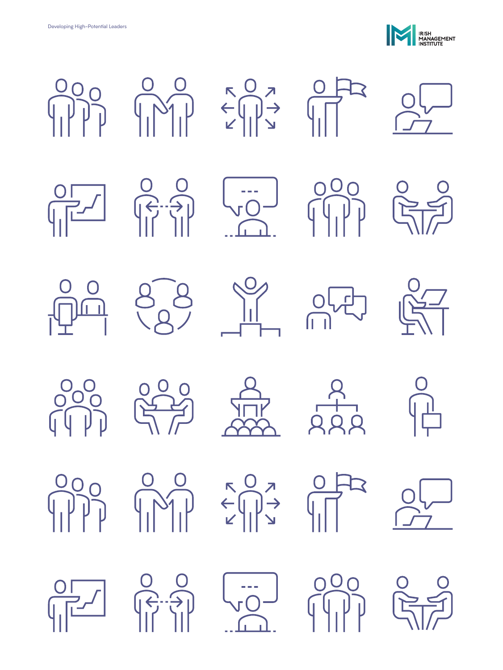